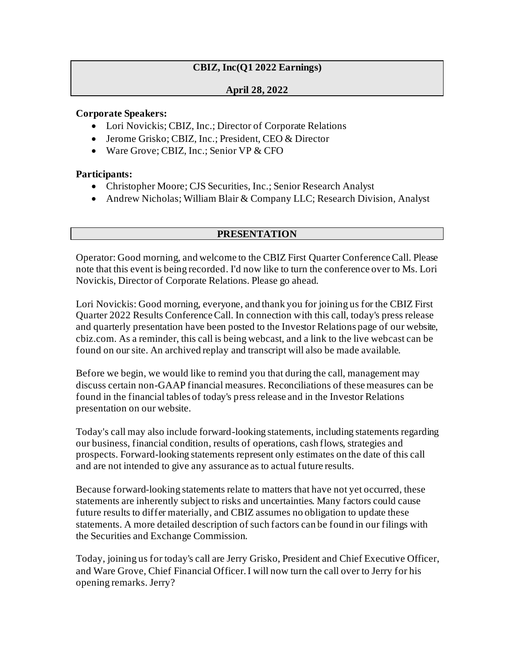# **CBIZ, Inc(Q1 2022 Earnings)**

#### **April 28, 2022**

#### **Corporate Speakers:**

- Lori Novickis; CBIZ, Inc.; Director of Corporate Relations
- Jerome Grisko; CBIZ, Inc.; President, CEO & Director
- Ware Grove: CBIZ, Inc.: Senior VP & CFO

### **Participants:**

- Christopher Moore; CJS Securities, Inc.; Senior Research Analyst
- Andrew Nicholas; William Blair & Company LLC; Research Division, Analyst

## **PRESENTATION**

Operator: Good morning, and welcome to the CBIZ First Quarter Conference Call. Please note that this event is being recorded. I'd now like to turn the conference over to Ms. Lori Novickis, Director of Corporate Relations. Please go ahead.

Lori Novickis: Good morning, everyone, and thank you for joining us for the CBIZ First Quarter 2022 Results Conference Call. In connection with this call, today's press release and quarterly presentation have been posted to the Investor Relations page of our website, cbiz.com. As a reminder, this call is being webcast, and a link to the live webcast can be found on our site. An archived replay and transcript will also be made available.

Before we begin, we would like to remind you that during the call, management may discuss certain non-GAAP financial measures. Reconciliations of these measures can be found in the financial tables of today's press release and in the Investor Relations presentation on our website.

Today's call may also include forward-looking statements, including statements regarding our business, financial condition, results of operations, cash flows, strategies and prospects. Forward-looking statements represent only estimates on the date of this call and are not intended to give any assurance as to actual future results.

Because forward-looking statements relate to matters that have not yet occurred, these statements are inherently subject to risks and uncertainties. Many factors could cause future results to differ materially, and CBIZ assumes no obligation to update these statements. A more detailed description of such factors can be found in our filings with the Securities and Exchange Commission.

Today, joining us for today's call are Jerry Grisko, President and Chief Executive Officer, and Ware Grove, Chief Financial Officer. I will now turn the call over to Jerry for his opening remarks. Jerry?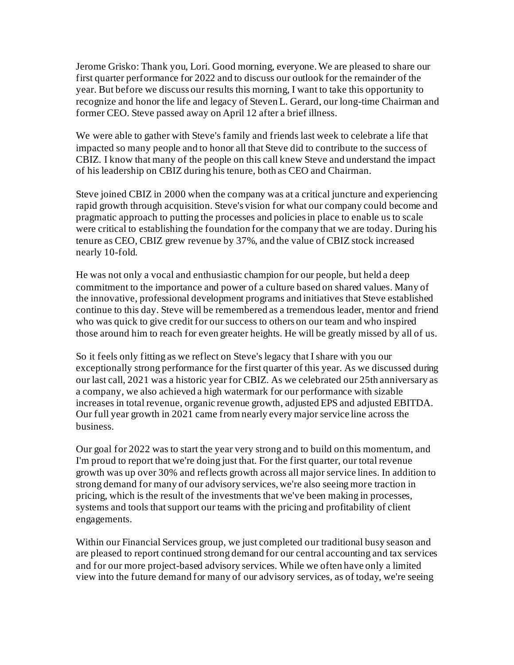Jerome Grisko: Thank you, Lori. Good morning, everyone. We are pleased to share our first quarter performance for 2022 and to discuss our outlook for the remainder of the year. But before we discuss our results this morning, I want to take this opportunity to recognize and honor the life and legacy of Steven L. Gerard, our long-time Chairman and former CEO. Steve passed away on April 12 after a brief illness.

We were able to gather with Steve's family and friends last week to celebrate a life that impacted so many people and to honor all that Steve did to contribute to the success of CBIZ. I know that many of the people on this call knew Steve and understand the impact of his leadership on CBIZ during his tenure, both as CEO and Chairman.

Steve joined CBIZ in 2000 when the company was at a critical juncture and experiencing rapid growth through acquisition. Steve's vision for what our company could become and pragmatic approach to putting the processes and policies in place to enable us to scale were critical to establishing the foundation for the company that we are today. During his tenure as CEO, CBIZ grew revenue by 37%, and the value of CBIZ stock increased nearly 10-fold.

He was not only a vocal and enthusiastic champion for our people, but held a deep commitment to the importance and power of a culture based on shared values. Many of the innovative, professional development programs and initiatives that Steve established continue to this day. Steve will be remembered as a tremendous leader, mentor and friend who was quick to give credit for our success to others on our team and who inspired those around him to reach for even greater heights. He will be greatly missed by all of us.

So it feels only fitting as we reflect on Steve's legacy that I share with you our exceptionally strong performance for the first quarter of this year. As we discussed during our last call, 2021 was a historic year for CBIZ. As we celebrated our 25th anniversary as a company, we also achieved a high watermark for our performance with sizable increases in total revenue, organic revenue growth, adjusted EPS and adjusted EBITDA. Our full year growth in 2021 came from nearly every major service line across the business.

Our goal for 2022 was to start the year very strong and to build on this momentum, and I'm proud to report that we're doing just that. For the first quarter, our total revenue growth was up over 30% and reflects growth across all major service lines. In addition to strong demand for many of our advisory services, we're also seeing more traction in pricing, which is the result of the investments that we've been making in processes, systems and tools that support our teams with the pricing and profitability of client engagements.

Within our Financial Services group, we just completed our traditional busy season and are pleased to report continued strong demand for our central accounting and tax services and for our more project-based advisory services. While we often have only a limited view into the future demand for many of our advisory services, as of today, we're seeing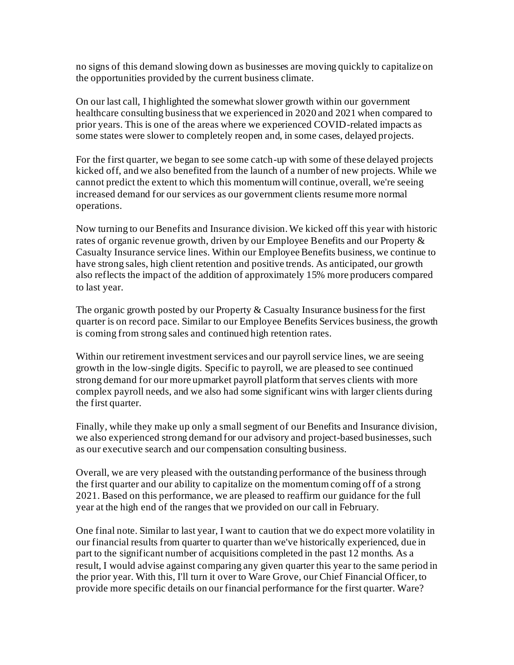no signs of this demand slowing down as businesses are moving quickly to capitalize on the opportunities provided by the current business climate.

On our last call, I highlighted the somewhat slower growth within our government healthcare consulting business that we experienced in 2020 and 2021 when compared to prior years. This is one of the areas where we experienced COVID-related impacts as some states were slower to completely reopen and, in some cases, delayed projects.

For the first quarter, we began to see some catch-up with some of these delayed projects kicked off, and we also benefited from the launch of a number of new projects. While we cannot predict the extent to which this momentum will continue, overall, we're seeing increased demand for our services as our government clients resume more normal operations.

Now turning to our Benefits and Insurance division. We kicked off this year with historic rates of organic revenue growth, driven by our Employee Benefits and our Property & Casualty Insurance service lines. Within our Employee Benefits business, we continue to have strong sales, high client retention and positive trends. As anticipated, our growth also reflects the impact of the addition of approximately 15% more producers compared to last year.

The organic growth posted by our Property & Casualty Insurance business for the first quarter is on record pace. Similar to our Employee Benefits Services business, the growth is coming from strong sales and continued high retention rates.

Within our retirement investment services and our payroll service lines, we are seeing growth in the low-single digits. Specific to payroll, we are pleased to see continued strong demand for our more upmarket payroll platform that serves clients with more complex payroll needs, and we also had some significant wins with larger clients during the first quarter.

Finally, while they make up only a small segment of our Benefits and Insurance division, we also experienced strong demand for our advisory and project-based businesses, such as our executive search and our compensation consulting business.

Overall, we are very pleased with the outstanding performance of the business through the first quarter and our ability to capitalize on the momentum coming off of a strong 2021. Based on this performance, we are pleased to reaffirm our guidance for the full year at the high end of the ranges that we provided on our call in February.

One final note. Similar to last year, I want to caution that we do expect more volatility in our financial results from quarter to quarter than we've historically experienced, due in part to the significant number of acquisitions completed in the past 12 months. As a result, I would advise against comparing any given quarter this year to the same period in the prior year. With this, I'll turn it over to Ware Grove, our Chief Financial Officer, to provide more specific details on our financial performance for the first quarter. Ware?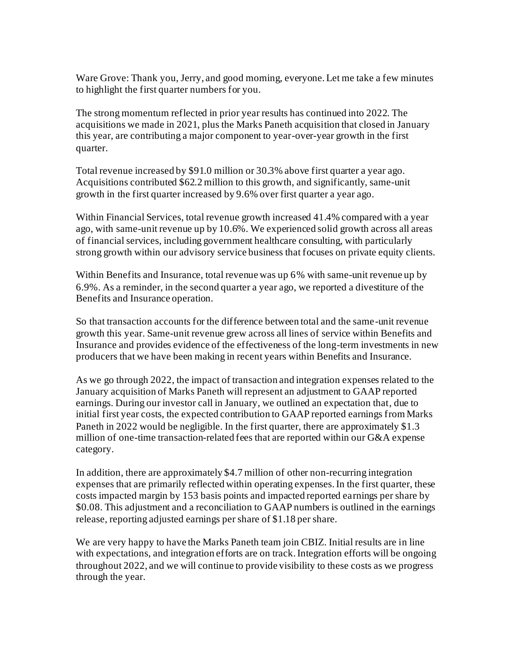Ware Grove: Thank you, Jerry, and good morning, everyone. Let me take a few minutes to highlight the first quarter numbers for you.

The strong momentum reflected in prior year results has continued into 2022. The acquisitions we made in 2021, plus the Marks Paneth acquisition that closed in January this year, are contributing a major component to year-over-year growth in the first quarter.

Total revenue increased by \$91.0 million or 30.3% above first quarter a year ago. Acquisitions contributed \$62.2 million to this growth, and significantly, same-unit growth in the first quarter increased by 9.6% over first quarter a year ago.

Within Financial Services, total revenue growth increased 41.4% compared with a year ago, with same-unit revenue up by 10.6%. We experienced solid growth across all areas of financial services, including government healthcare consulting, with particularly strong growth within our advisory service business that focuses on private equity clients.

Within Benefits and Insurance, total revenue was up 6% with same-unit revenue up by 6.9%. As a reminder, in the second quarter a year ago, we reported a divestiture of the Benefits and Insurance operation.

So that transaction accounts for the difference between total and the same-unit revenue growth this year. Same-unit revenue grew across all lines of service within Benefits and Insurance and provides evidence of the effectiveness of the long-term investments in new producers that we have been making in recent years within Benefits and Insurance.

As we go through 2022, the impact of transaction and integration expenses related to the January acquisition of Marks Paneth will represent an adjustment to GAAP reported earnings. During our investor call in January, we outlined an expectation that, due to initial first year costs, the expected contribution to GAAP reported earnings from Marks Paneth in 2022 would be negligible. In the first quarter, there are approximately \$1.3 million of one-time transaction-related fees that are reported within our G&A expense category.

In addition, there are approximately \$4.7 million of other non-recurring integration expenses that are primarily reflected within operating expenses. In the first quarter, these costs impacted margin by 153 basis points and impacted reported earnings per share by \$0.08. This adjustment and a reconciliation to GAAP numbers is outlined in the earnings release, reporting adjusted earnings per share of \$1.18 per share.

We are very happy to have the Marks Paneth team join CBIZ. Initial results are in line with expectations, and integration efforts are on track. Integration efforts will be ongoing throughout 2022, and we will continue to provide visibility to these costs as we progress through the year.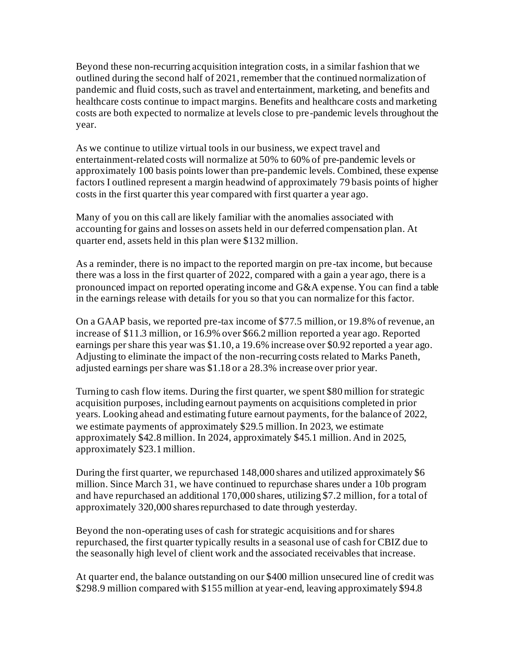Beyond these non-recurring acquisition integration costs, in a similar fashion that we outlined during the second half of 2021, remember that the continued normalization of pandemic and fluid costs, such as travel and entertainment, marketing, and benefits and healthcare costs continue to impact margins. Benefits and healthcare costs and marketing costs are both expected to normalize at levels close to pre-pandemic levels throughout the year.

As we continue to utilize virtual tools in our business, we expect travel and entertainment-related costs will normalize at 50% to 60% of pre-pandemic levels or approximately 100 basis points lower than pre-pandemic levels. Combined, these expense factors I outlined represent a margin headwind of approximately 79 basis points of higher costs in the first quarter this year compared with first quarter a year ago.

Many of you on this call are likely familiar with the anomalies associated with accounting for gains and losses on assets held in our deferred compensation plan. At quarter end, assets held in this plan were \$132 million.

As a reminder, there is no impact to the reported margin on pre-tax income, but because there was a loss in the first quarter of 2022, compared with a gain a year ago, there is a pronounced impact on reported operating income and G&A expense. You can find a table in the earnings release with details for you so that you can normalize for this factor.

On a GAAP basis, we reported pre-tax income of \$77.5 million, or 19.8% of revenue, an increase of \$11.3 million, or 16.9% over \$66.2 million reported a year ago. Reported earnings per share this year was \$1.10, a 19.6% increase over \$0.92 reported a year ago. Adjusting to eliminate the impact of the non-recurring costs related to Marks Paneth, adjusted earnings per share was \$1.18 or a 28.3% increase over prior year.

Turning to cash flow items. During the first quarter, we spent \$80 million for strategic acquisition purposes, including earnout payments on acquisitions completed in prior years. Looking ahead and estimating future earnout payments, for the balance of 2022, we estimate payments of approximately \$29.5 million. In 2023, we estimate approximately \$42.8 million. In 2024, approximately \$45.1 million. And in 2025, approximately \$23.1 million.

During the first quarter, we repurchased 148,000 shares and utilized approximately \$6 million. Since March 31, we have continued to repurchase shares under a 10b program and have repurchased an additional 170,000 shares, utilizing \$7.2 million, for a total of approximately 320,000 shares repurchased to date through yesterday.

Beyond the non-operating uses of cash for strategic acquisitions and for shares repurchased, the first quarter typically results in a seasonal use of cash for CBIZ due to the seasonally high level of client work and the associated receivables that increase.

At quarter end, the balance outstanding on our \$400 million unsecured line of credit was \$298.9 million compared with \$155 million at year-end, leaving approximately \$94.8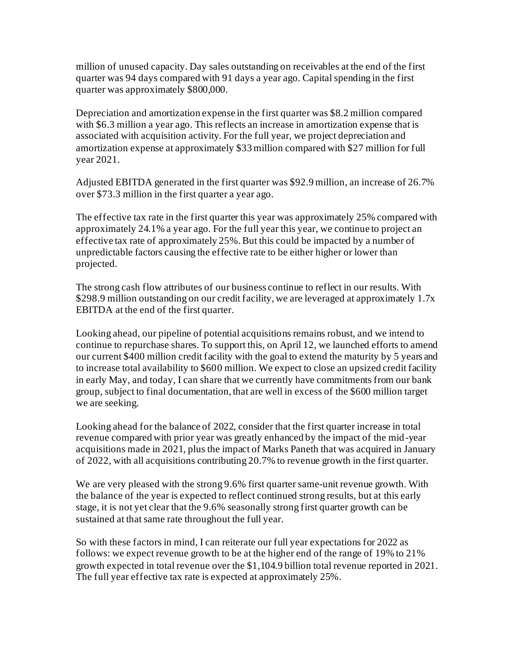million of unused capacity. Day sales outstanding on receivables at the end of the first quarter was 94 days compared with 91 days a year ago. Capital spending in the first quarter was approximately \$800,000.

Depreciation and amortization expense in the first quarter was \$8.2 million compared with \$6.3 million a year ago. This reflects an increase in amortization expense that is associated with acquisition activity. For the full year, we project depreciation and amortization expense at approximately \$33 million compared with \$27 million for full year 2021.

Adjusted EBITDA generated in the first quarter was \$92.9 million, an increase of 26.7% over \$73.3 million in the first quarter a year ago.

The effective tax rate in the first quarter this year was approximately 25% compared with approximately 24.1% a year ago. For the full year this year, we continue to project an effective tax rate of approximately 25%. But this could be impacted by a number of unpredictable factors causing the effective rate to be either higher or lower than projected.

The strong cash flow attributes of our business continue to reflect in our results. With \$298.9 million outstanding on our credit facility, we are leveraged at approximately 1.7x EBITDA at the end of the first quarter.

Looking ahead, our pipeline of potential acquisitions remains robust, and we intend to continue to repurchase shares. To support this, on April 12, we launched efforts to amend our current \$400 million credit facility with the goal to extend the maturity by 5 years and to increase total availability to \$600 million. We expect to close an upsized credit facility in early May, and today, I can share that we currently have commitments from our bank group, subject to final documentation, that are well in excess of the \$600 million target we are seeking.

Looking ahead for the balance of 2022, consider that the first quarter increase in total revenue compared with prior year was greatly enhanced by the impact of the mid-year acquisitions made in 2021, plus the impact of Marks Paneth that was acquired in January of 2022, with all acquisitions contributing 20.7% to revenue growth in the first quarter.

We are very pleased with the strong 9.6% first quarter same-unit revenue growth. With the balance of the year is expected to reflect continued strong results, but at this early stage, it is not yet clear that the 9.6% seasonally strong first quarter growth can be sustained at that same rate throughout the full year.

So with these factors in mind, I can reiterate our full year expectations for 2022 as follows: we expect revenue growth to be at the higher end of the range of 19% to 21% growth expected in total revenue over the \$1,104.9 billion total revenue reported in 2021. The full year effective tax rate is expected at approximately 25%.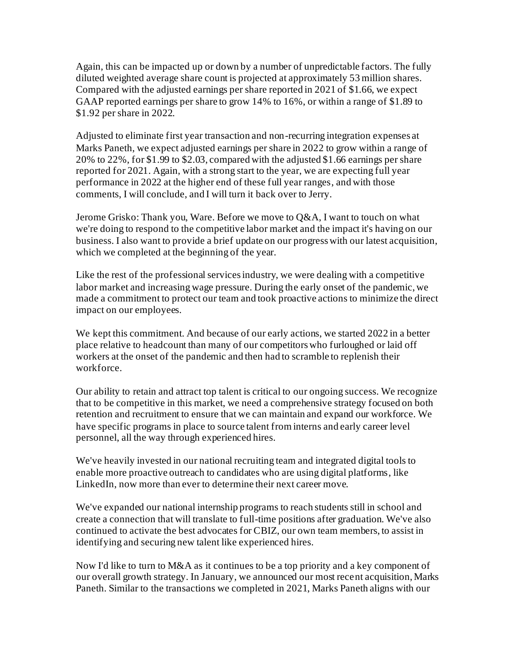Again, this can be impacted up or down by a number of unpredictable factors. The fully diluted weighted average share count is projected at approximately 53 million shares. Compared with the adjusted earnings per share reported in 2021 of \$1.66, we expect GAAP reported earnings per share to grow 14% to 16%, or within a range of \$1.89 to \$1.92 per share in 2022.

Adjusted to eliminate first year transaction and non-recurring integration expenses at Marks Paneth, we expect adjusted earnings per share in 2022 to grow within a range of 20% to 22%, for \$1.99 to \$2.03, compared with the adjusted \$1.66 earnings per share reported for 2021. Again, with a strong start to the year, we are expecting full year performance in 2022 at the higher end of these full year ranges, and with those comments, I will conclude, and I will turn it back over to Jerry.

Jerome Grisko: Thank you, Ware. Before we move to Q&A, I want to touch on what we're doing to respond to the competitive labor market and the impact it's having on our business. I also want to provide a brief update on our progress with our latest acquisition, which we completed at the beginning of the year.

Like the rest of the professional services industry, we were dealing with a competitive labor market and increasing wage pressure. During the early onset of the pandemic, we made a commitment to protect our team and took proactive actions to minimize the direct impact on our employees.

We kept this commitment. And because of our early actions, we started 2022 in a better place relative to headcount than many of our competitors who furloughed or laid off workers at the onset of the pandemic and then had to scramble to replenish their workforce.

Our ability to retain and attract top talent is critical to our ongoing success. We recognize that to be competitive in this market, we need a comprehensive strategy focused on both retention and recruitment to ensure that we can maintain and expand our workforce. We have specific programs in place to source talent from interns and early career level personnel, all the way through experienced hires.

We've heavily invested in our national recruiting team and integrated digital tools to enable more proactive outreach to candidates who are using digital platforms, like LinkedIn, now more than ever to determine their next career move.

We've expanded our national internship programs to reach students still in school and create a connection that will translate to full-time positions after graduation. We've also continued to activate the best advocates for CBIZ, our own team members, to assist in identifying and securing new talent like experienced hires.

Now I'd like to turn to M&A as it continues to be a top priority and a key component of our overall growth strategy. In January, we announced our most recent acquisition, Marks Paneth. Similar to the transactions we completed in 2021, Marks Paneth aligns with our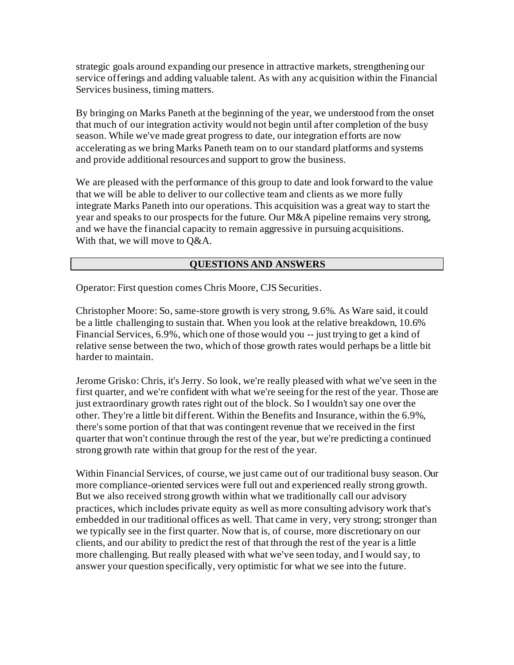strategic goals around expanding our presence in attractive markets, strengthening our service offerings and adding valuable talent. As with any acquisition within the Financial Services business, timing matters.

By bringing on Marks Paneth at the beginning of the year, we understood from the onset that much of our integration activity would not begin until after completion of the busy season. While we've made great progress to date, our integration efforts are now accelerating as we bring Marks Paneth team on to our standard platforms and systems and provide additional resources and support to grow the business.

We are pleased with the performance of this group to date and look forward to the value that we will be able to deliver to our collective team and clients as we more fully integrate Marks Paneth into our operations. This acquisition was a great way to start the year and speaks to our prospects for the future. Our M&A pipeline remains very strong, and we have the financial capacity to remain aggressive in pursuing acquisitions. With that, we will move to Q&A.

### **QUESTIONS AND ANSWERS**

Operator: First question comes Chris Moore, CJS Securities.

Christopher Moore: So, same-store growth is very strong, 9.6%. As Ware said, it could be a little challenging to sustain that. When you look at the relative breakdown, 10.6% Financial Services, 6.9%, which one of those would you -- just trying to get a kind of relative sense between the two, which of those growth rates would perhaps be a little bit harder to maintain.

Jerome Grisko: Chris, it's Jerry. So look, we're really pleased with what we've seen in the first quarter, and we're confident with what we're seeing for the rest of the year. Those are just extraordinary growth rates right out of the block. So I wouldn't say one over the other. They're a little bit different. Within the Benefits and Insurance, within the 6.9%, there's some portion of that that was contingent revenue that we received in the first quarter that won't continue through the rest of the year, but we're predicting a continued strong growth rate within that group for the rest of the year.

Within Financial Services, of course, we just came out of our traditional busy season. Our more compliance-oriented services were full out and experienced really strong growth. But we also received strong growth within what we traditionally call our advisory practices, which includes private equity as well as more consulting advisory work that's embedded in our traditional offices as well. That came in very, very strong; stronger than we typically see in the first quarter. Now that is, of course, more discretionary on our clients, and our ability to predict the rest of that through the rest of the year is a little more challenging. But really pleased with what we've seen today, and I would say, to answer your question specifically, very optimistic for what we see into the future.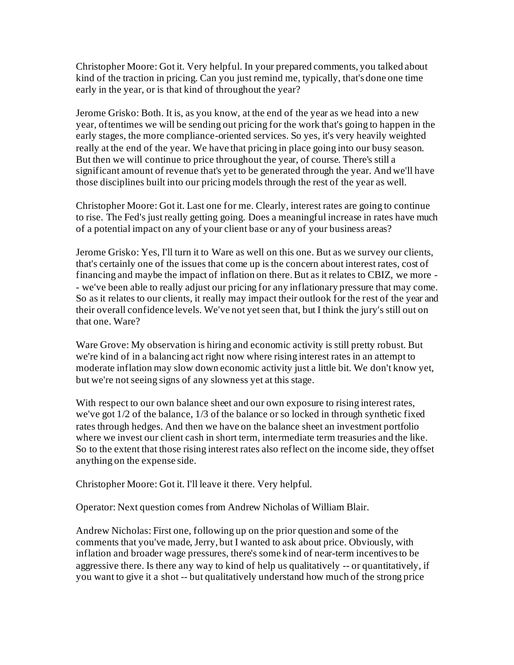Christopher Moore: Got it. Very helpful. In your prepared comments, you talked about kind of the traction in pricing. Can you just remind me, typically, that's done one time early in the year, or is that kind of throughout the year?

Jerome Grisko: Both. It is, as you know, at the end of the year as we head into a new year, oftentimes we will be sending out pricing for the work that's going to happen in the early stages, the more compliance-oriented services. So yes, it's very heavily weighted really at the end of the year. We have that pricing in place going into our busy season. But then we will continue to price throughout the year, of course. There's still a significant amount of revenue that's yet to be generated through the year. And we'll have those disciplines built into our pricing models through the rest of the year as well.

Christopher Moore: Got it. Last one for me. Clearly, interest rates are going to continue to rise. The Fed's just really getting going. Does a meaningful increase in rates have much of a potential impact on any of your client base or any of your business areas?

Jerome Grisko: Yes, I'll turn it to Ware as well on this one. But as we survey our clients, that's certainly one of the issues that come up is the concern about interest rates, cost of financing and maybe the impact of inflation on there. But as it relates to CBIZ, we more - - we've been able to really adjust our pricing for any inflationary pressure that may come. So as it relates to our clients, it really may impact their outlook for the rest of the year and their overall confidence levels. We've not yet seen that, but I think the jury's still out on that one. Ware?

Ware Grove: My observation is hiring and economic activity is still pretty robust. But we're kind of in a balancing act right now where rising interest rates in an attempt to moderate inflation may slow down economic activity just a little bit. We don't know yet, but we're not seeing signs of any slowness yet at this stage.

With respect to our own balance sheet and our own exposure to rising interest rates, we've got 1/2 of the balance, 1/3 of the balance or so locked in through synthetic fixed rates through hedges. And then we have on the balance sheet an investment portfolio where we invest our client cash in short term, intermediate term treasuries and the like. So to the extent that those rising interest rates also reflect on the income side, they offset anything on the expense side.

Christopher Moore: Got it. I'll leave it there. Very helpful.

Operator: Next question comes from Andrew Nicholas of William Blair.

Andrew Nicholas: First one, following up on the prior question and some of the comments that you've made, Jerry, but I wanted to ask about price. Obviously, with inflation and broader wage pressures, there's some kind of near-term incentives to be aggressive there. Is there any way to kind of help us qualitatively -- or quantitatively, if you want to give it a shot -- but qualitatively understand how much of the strong price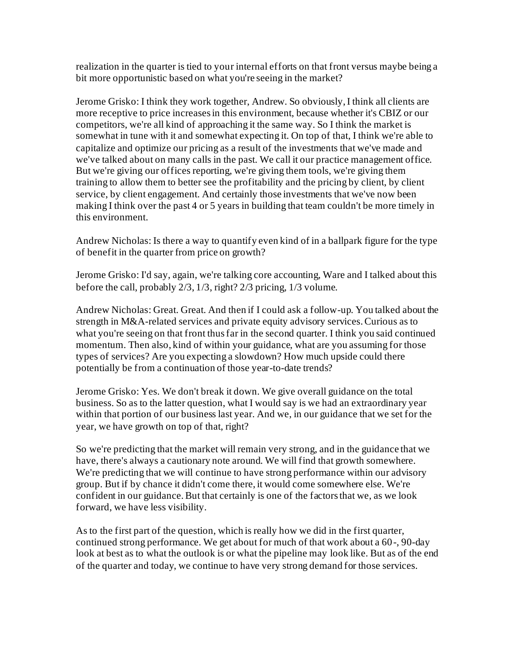realization in the quarter is tied to your internal efforts on that front versus maybe being a bit more opportunistic based on what you're seeing in the market?

Jerome Grisko: I think they work together, Andrew. So obviously, I think all clients are more receptive to price increases in this environment, because whether it's CBIZ or our competitors, we're all kind of approaching it the same way. So I think the market is somewhat in tune with it and somewhat expecting it. On top of that, I think we're able to capitalize and optimize our pricing as a result of the investments that we've made and we've talked about on many calls in the past. We call it our practice management office. But we're giving our offices reporting, we're giving them tools, we're giving them training to allow them to better see the profitability and the pricing by client, by client service, by client engagement. And certainly those investments that we've now been making I think over the past 4 or 5 years in building that team couldn't be more timely in this environment.

Andrew Nicholas: Is there a way to quantify even kind of in a ballpark figure for the type of benefit in the quarter from price on growth?

Jerome Grisko: I'd say, again, we're talking core accounting, Ware and I talked about this before the call, probably 2/3, 1/3, right? 2/3 pricing, 1/3 volume.

Andrew Nicholas: Great. Great. And then if I could ask a follow-up. You talked about the strength in M&A-related services and private equity advisory services. Curious as to what you're seeing on that front thus far in the second quarter. I think you said continued momentum. Then also, kind of within your guidance, what are you assuming for those types of services? Are you expecting a slowdown? How much upside could there potentially be from a continuation of those year-to-date trends?

Jerome Grisko: Yes. We don't break it down. We give overall guidance on the total business. So as to the latter question, what I would say is we had an extraordinary year within that portion of our business last year. And we, in our guidance that we set for the year, we have growth on top of that, right?

So we're predicting that the market will remain very strong, and in the guidance that we have, there's always a cautionary note around. We will find that growth somewhere. We're predicting that we will continue to have strong performance within our advisory group. But if by chance it didn't come there, it would come somewhere else. We're confident in our guidance. But that certainly is one of the factors that we, as we look forward, we have less visibility.

As to the first part of the question, which is really how we did in the first quarter, continued strong performance. We get about for much of that work about a 60-, 90-day look at best as to what the outlook is or what the pipeline may look like. But as of the end of the quarter and today, we continue to have very strong demand for those services.